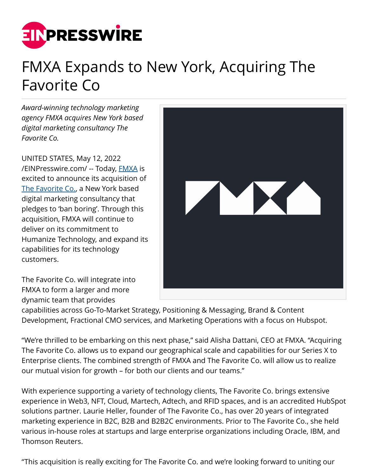

## FMXA Expands to New York, Acquiring The Favorite Co

*Award-winning technology marketing agency FMXA acquires New York based digital marketing consultancy The Favorite Co.*

UNITED STATES, May 12, 2022 [/EINPresswire.com/](http://www.einpresswire.com) -- Today, [FMXA](https://fmxa.com/) is excited to announce its acquisition of [The Favorite Co.,](https://thefavoriteco.com/) a New York based digital marketing consultancy that pledges to 'ban boring'. Through this acquisition, FMXA will continue to deliver on its commitment to Humanize Technology, and expand its capabilities for its technology customers.

The Favorite Co. will integrate into FMXA to form a larger and more dynamic team that provides



capabilities across Go-To-Market Strategy, Positioning & Messaging, Brand & Content Development, Fractional CMO services, and Marketing Operations with a focus on Hubspot.

"We're thrilled to be embarking on this next phase," said Alisha Dattani, CEO at FMXA. "Acquiring The Favorite Co. allows us to expand our geographical scale and capabilities for our Series X to Enterprise clients. The combined strength of FMXA and The Favorite Co. will allow us to realize our mutual vision for growth – for both our clients and our teams."

With experience supporting a variety of technology clients, The Favorite Co. brings extensive experience in Web3, NFT, Cloud, Martech, Adtech, and RFID spaces, and is an accredited HubSpot solutions partner. Laurie Heller, founder of The Favorite Co., has over 20 years of integrated marketing experience in B2C, B2B and B2B2C environments. Prior to The Favorite Co., she held various in-house roles at startups and large enterprise organizations including Oracle, IBM, and Thomson Reuters.

"This acquisition is really exciting for The Favorite Co. and we're looking forward to uniting our